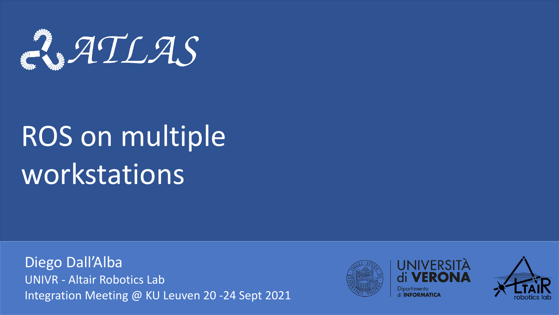

# ROS on multiple workstations

Diego Dall'Alba UNIVR - Altair Robotics Lab Integration Meeting @ KU Leuven 20 -24 Sept 2021





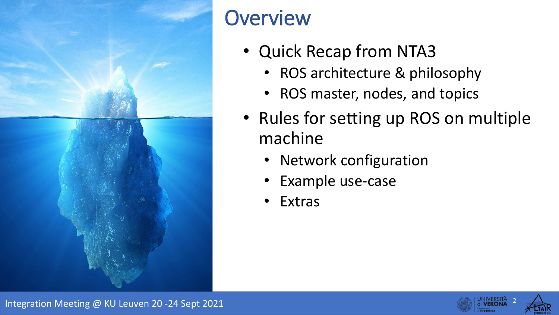

# **Overview**

- Quick Recap from NTA3
	- ROS architecture & philosophy
	- ROS master, nodes, and topics
- Rules for setting up ROS on multiple machine
	- Network configuration
	- Example use-case
	- **Extras**



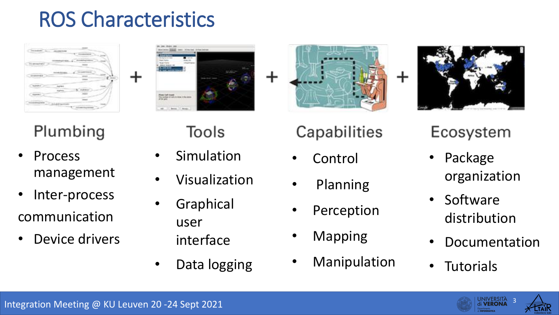### ROS Characteristics





- Process management
- Inter-process communication
- Device drivers

┿

**Simulation** 

Tools

- **Visualization**
- **Graphical** user
	- interface
- Data logging

### Capabilities

- Control
- Planning
- Perception
- **Mapping**
- **Manipulation**

┿

### Ecosystem

- Package organization
- **Software** distribution
- **Documentation**

JNIVERSITA

**Tutorials** 

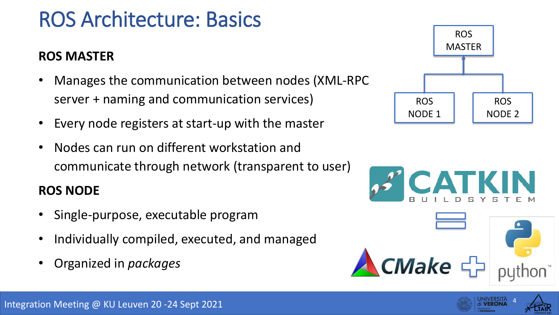### ROS Architecture: Basics

#### **ROS MASTER**

- Manages the communication between nodes (XML-RPC server + naming and communication services)
- Every node registers at start-up with the master
- Nodes can run on different workstation and communicate through network (transparent to user)

#### **ROS NODE**

- Single-purpose, executable program
- Individually compiled, executed, and managed
- Organized in *packages*







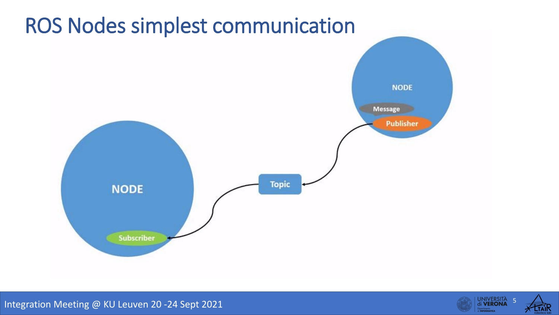

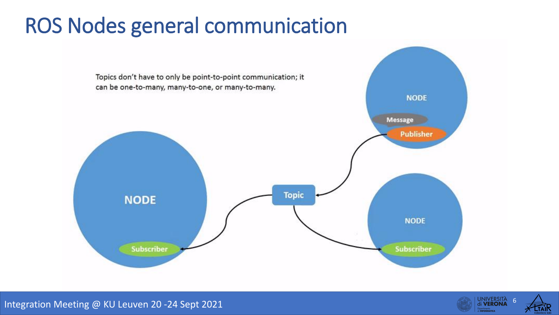### ROS Nodes general communication



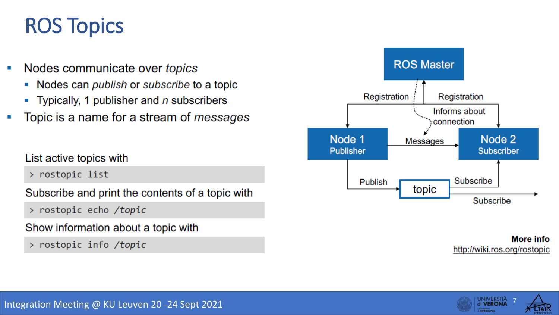### ROS Topics

- Nodes communicate over topics
	- Nodes can *publish* or *subscribe* to a topic  $\blacksquare$
	- **Typically, 1 publisher and**  $n$  **subscribers**
- Topic is a name for a stream of *messages*

#### List active topics with

> rostopic list

Subscribe and print the contents of a topic with

> rostopic echo /topic

Show information about a topic with

> rostopic info /topic



**More info** http://wiki.ros.org/rostopic

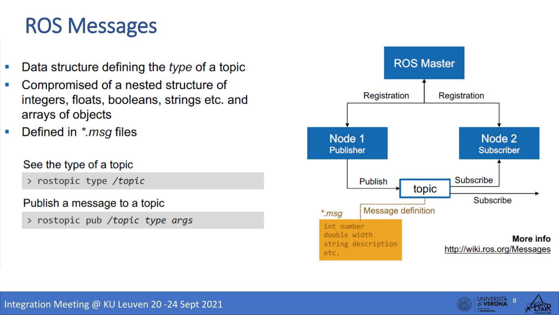### ROS Messages

- Data structure defining the type of a topic
- Compromised of a nested structure of  $\blacksquare$ integers, floats, booleans, strings etc. and arrays of objects
- Defined in \*.msg files  $\blacksquare$

#### See the type of a topic

> rostopic type /topic

#### Publish a message to a topic

> rostopic pub /topic type args



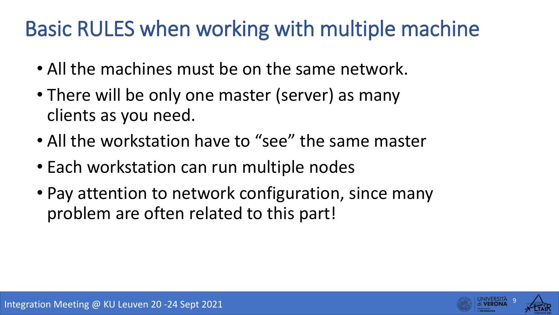## Basic RULES when working with multiple machine

- All the machines must be on the same network.
- There will be only one master (server) as many clients as you need.
- All the workstation have to "see" the same master
- Each workstation can run multiple nodes
- Pay attention to network configuration, since many problem are often related to this part!

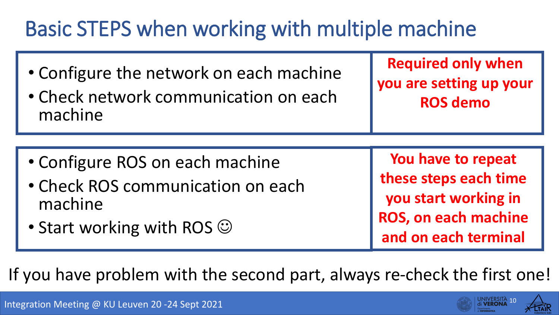# Basic STEPS when working with multiple machine

- Configure the network on each machine
- Check network communication on each machine

**Required only when you are setting up your ROS demo**

- Configure ROS on each machine
- Check ROS communication on each machine
- Start working with ROS  $\odot$

**You have to repeat these steps each time you start working in ROS, on each machine and on each terminal**

If you have problem with the second part, always re-check the first one!

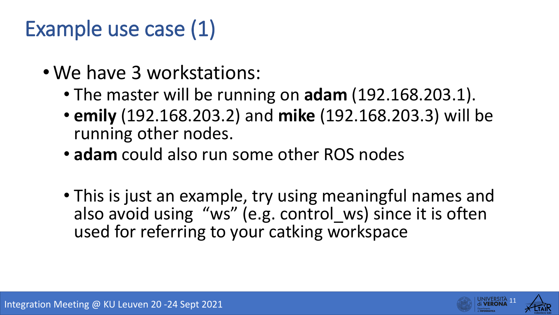# Example use case (1)

- We have 3 workstations:
	- The master will be running on **adam** (192.168.203.1).
	- **emily** (192.168.203.2) and **mike** (192.168.203.3) will be running other nodes.
	- **adam** could also run some other ROS nodes
	- This is just an example, try using meaningful names and also avoid using "ws" (e.g. control ws) since it is often used for referring to your catking workspace

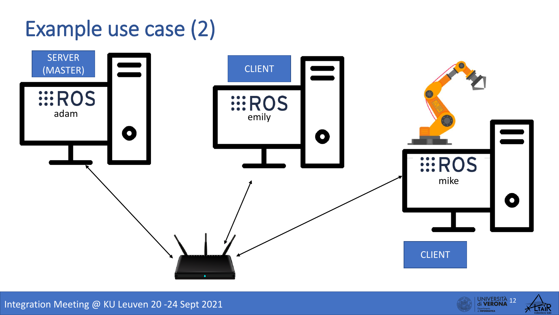# Example use case (2)





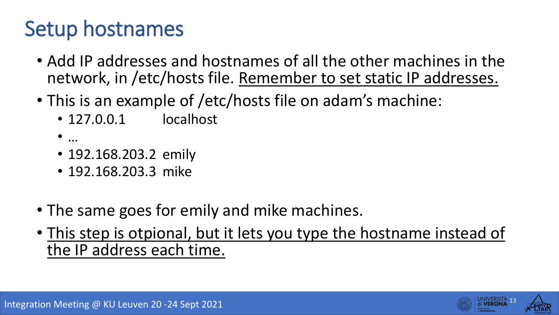## Setup hostnames

- Add IP addresses and hostnames of all the other machines in the network, in /etc/hosts file. Remember to set static IP addresses.
- This is an example of /etc/hosts file on adam's machine:
	- 127.0.0.1 localhost
	- …
	- 192.168.203.2 emily
	- 192.168.203.3 mike
- The same goes for emily and mike machines.
- This step is otpional, but it lets you type the hostname instead of the IP address each time.

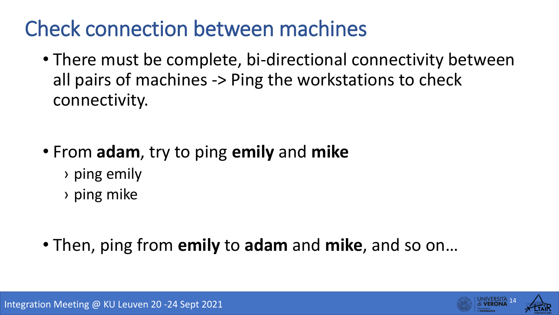# Check connection between machines

• There must be complete, bi-directional connectivity between all pairs of machines -> Ping the workstations to check connectivity.

- From **adam**, try to ping **emily** and **mike**
	- › ping emily
	- › ping mike
- Then, ping from **emily** to **adam** and **mike**, and so on…

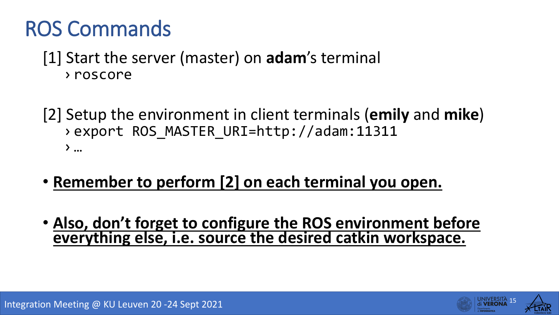### ROS Commands

### [1] Start the server (master) on **adam**'s terminal › roscore

- [2] Setup the environment in client terminals (**emily** and **mike**) › export ROS\_MASTER\_URI=http://adam:11311  $\sum$  …
- **Remember to perform [2] on each terminal you open.**
- **Also, don't forget to configure the ROS environment before everything else, i.e. source the desired catkin workspace.**

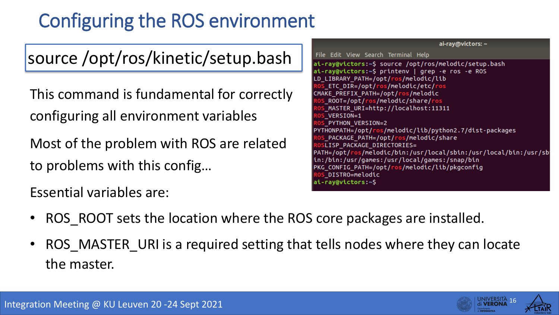### Configuring the ROS environment

source /opt/ros/kinetic/setup.bash

This command is fundamental for correctly configuring all environment variables

Most of the problem with ROS are related to problems with this config…

Essential variables are:

ai-ray@victors: ~ File Edit View Search Terminal Help ai-ray@victors:~\$ source /opt/ros/melodic/setup.bash ai-ray@victors:~\$ printenv | grep -e ros -e ROS LD LIBRARY PATH=/opt/ros/melodic/lib ETC DIR=/opt/ros/melodic/etc/ros CMAKE PREFIX PATH=/opt/ros/melodic \_ROOT=/opt/ros/melodic/share/ros  $MASTER_URI=http://localhost:11311$ VERSION=1 PYTHON VERSION=2 PYTHONPATH=/opt/ros/melodic/lib/python2.7/dist-packages \_PACKAGE\_PATH=/opt/ros/melodic/share **SLISP PACKAGE DIRECTORIES=** PATH=/opt/ros/melodic/bin:/usr/local/sbin:/usr/local/bin:/usr/sb in:/bin:/usr/games:/usr/local/games:/snap/bin PKG\_CONFIG\_PATH=/opt/ros/melodic/lib/pkgconfig \_DISTRO=melodic ai-ray@victors:~\$

- ROS ROOT sets the location where the ROS core packages are installed.
- ROS\_MASTER\_URI is a required setting that tells nodes where they can locate the master.

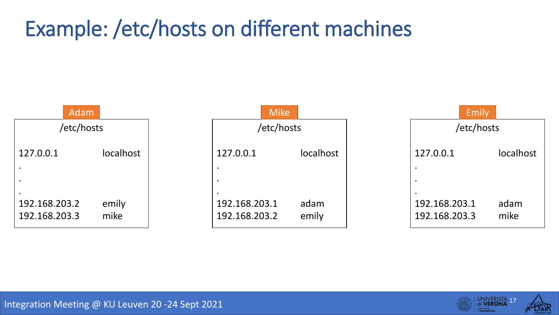# Example: /etc/hosts on different machines





Integration Meeting @ KU Leuven 20 -24 Sept 2021 Contract Contract Contract Contract Contract Contract Contract Contract Contract Contract Contract Contract Contract Contract Contract Contract Contract Contract Contract Co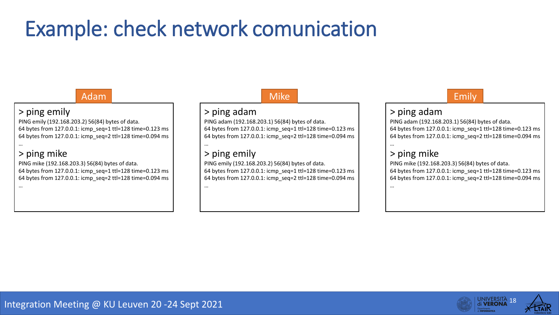## Example: check network comunication

#### Adam

#### > ping emily

PING emily (192.168.203.2) 56(84) bytes of data. 64 bytes from 127.0.0.1: icmp\_seq=1 ttl=128 time=0.123 ms 64 bytes from 127.0.0.1: icmp\_seq=2 ttl=128 time=0.094 ms

#### > ping mike

PING mike (192.168.203.3) 56(84) bytes of data. 64 bytes from 127.0.0.1: icmp\_seq=1 ttl=128 time=0.123 ms 64 bytes from 127.0.0.1: icmp\_seq=2 ttl=128 time=0.094 ms

#### Mike

#### > ping adam

PING adam (192.168.203.1) 56(84) bytes of data. 64 bytes from 127.0.0.1: icmp\_seq=1 ttl=128 time=0.123 ms 64 bytes from 127.0.0.1: icmp\_seq=2 ttl=128 time=0.094 ms

#### > ping emily

…

…

PING emily (192.168.203.2) 56(84) bytes of data. 64 bytes from 127.0.0.1: icmp\_seq=1 ttl=128 time=0.123 ms 64 bytes from 127.0.0.1: icmp\_seq=2 ttl=128 time=0.094 ms

#### Emily

#### > ping adam

PING adam (192.168.203.1) 56(84) bytes of data. 64 bytes from 127.0.0.1: icmp\_seq=1 ttl=128 time=0.123 ms 64 bytes from 127.0.0.1: icmp\_seq=2 ttl=128 time=0.094 ms

…

…

#### > ping mike

PING mike (192.168.203.3) 56(84) bytes of data. 64 bytes from 127.0.0.1: icmp\_seq=1 ttl=128 time=0.123 ms 64 bytes from 127.0.0.1: icmp\_seq=2 ttl=128 time=0.094 ms

…

…

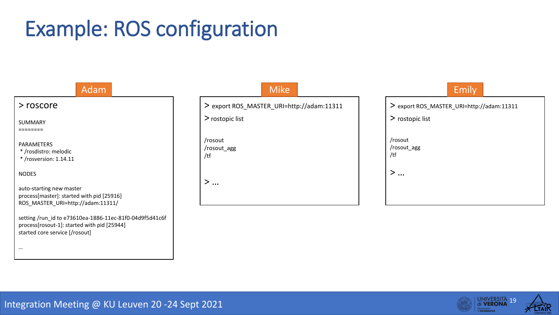# Example: ROS configuration

#### > roscore SUMMARY ======== PARAMETERS \* /rosdistro: melodic \* /rosversion: 1.14.11 NODES auto-starting new master process[master]: started with pid [25916] ROS\_MASTER\_URI=http://adam:11311/ setting /run\_id to e73610ea-1886-11ec-81f0-04d9f5d41c6f process[rosout-1]: started with pid [25944] started core service [/rosout] … Adam

Mike

> export ROS\_MASTER\_URI=http://adam:11311

> rostopic list

/rosout /rosout\_agg /tf

> …

| > rostopic list |  |  |
|-----------------|--|--|
| /rosout         |  |  |
| /rosout_agg     |  |  |
| /tf             |  |  |
|                 |  |  |
|                 |  |  |

Emily

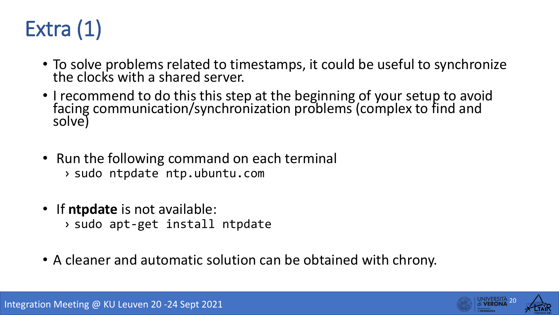

- To solve problems related to timestamps, it could be useful to synchronize the clocks with a shared server.
- I recommend to do this this step at the beginning of your setup to avoid facing communication/synchronization problems (complex to find and solve)
- Run the following command on each terminal › sudo ntpdate ntp.ubuntu.com
- If **ntpdate** is not available: › sudo apt-get install ntpdate
- A cleaner and automatic solution can be obtained with chrony.

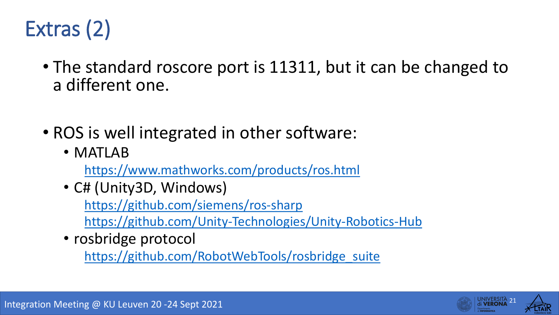

- The standard roscore port is 11311, but it can be changed to a different one.
- ROS is well integrated in other software:
	- MATLAB

<https://www.mathworks.com/products/ros.html>

• C# (Unity3D, Windows)

<https://github.com/siemens/ros-sharp>

<https://github.com/Unity-Technologies/Unity-Robotics-Hub>

• rosbridge protocol

[https://github.com/RobotWebTools/rosbridge\\_suite](https://github.com/RobotWebTools/rosbridge_suite)